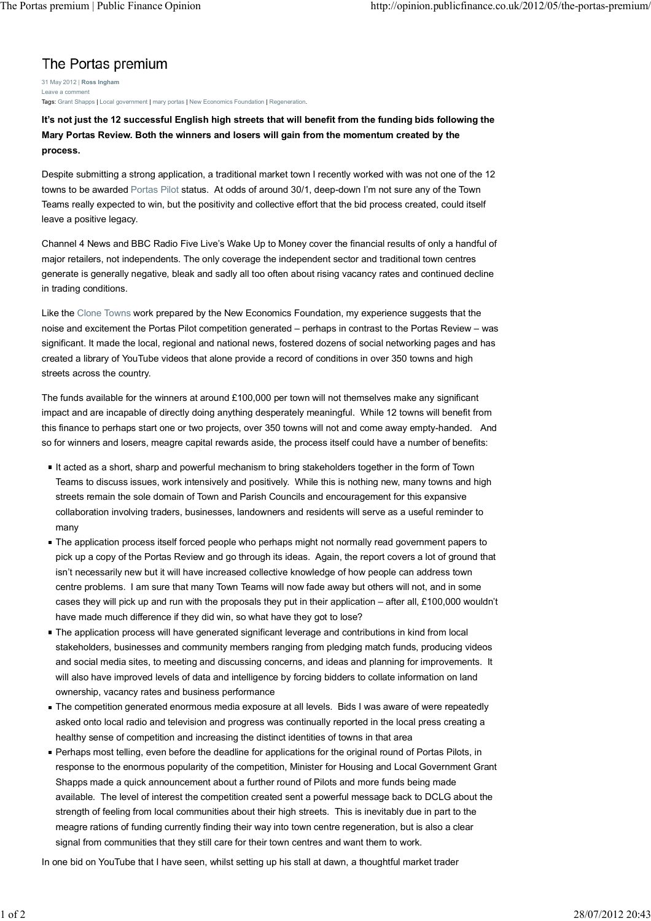## The Portas premium

31 May 2012 | **Ross Ingham** Leave a comment Tags: Grant Shapps | Local government | mary portas | New Economics Foundation | Regeneration.

**It's not just the 12 successful English high streets that will benefit from the funding bids following the Mary Portas Review. Both the winners and losers will gain from the momentum created by the process.**

Despite submitting a strong application, a traditional market town I recently worked with was not one of the 12 towns to be awarded Portas Pilot status. At odds of around 30/1, deep-down I'm not sure any of the Town Teams really expected to win, but the positivity and collective effort that the bid process created, could itself leave a positive legacy.

Channel 4 News and BBC Radio Five Live's Wake Up to Money cover the financial results of only a handful of major retailers, not independents. The only coverage the independent sector and traditional town centres generate is generally negative, bleak and sadly all too often about rising vacancy rates and continued decline in trading conditions.

Like the Clone Towns work prepared by the New Economics Foundation, my experience suggests that the noise and excitement the Portas Pilot competition generated – perhaps in contrast to the Portas Review – was significant. It made the local, regional and national news, fostered dozens of social networking pages and has created a library of YouTube videos that alone provide a record of conditions in over 350 towns and high streets across the country.

The funds available for the winners at around £100,000 per town will not themselves make any significant impact and are incapable of directly doing anything desperately meaningful. While 12 towns will benefit from this finance to perhaps start one or two projects, over 350 towns will not and come away empty-handed. And so for winners and losers, meagre capital rewards aside, the process itself could have a number of benefits:

- It acted as a short, sharp and powerful mechanism to bring stakeholders together in the form of Town Teams to discuss issues, work intensively and positively. While this is nothing new, many towns and high streets remain the sole domain of Town and Parish Councils and encouragement for this expansive collaboration involving traders, businesses, landowners and residents will serve as a useful reminder to many
- The application process itself forced people who perhaps might not normally read government papers to pick up a copy of the Portas Review and go through its ideas. Again, the report covers a lot of ground that isn't necessarily new but it will have increased collective knowledge of how people can address town centre problems. I am sure that many Town Teams will now fade away but others will not, and in some cases they will pick up and run with the proposals they put in their application – after all, £100,000 wouldn't have made much difference if they did win, so what have they got to lose?
- The application process will have generated significant leverage and contributions in kind from local stakeholders, businesses and community members ranging from pledging match funds, producing videos and social media sites, to meeting and discussing concerns, and ideas and planning for improvements. It will also have improved levels of data and intelligence by forcing bidders to collate information on land ownership, vacancy rates and business performance
- The competition generated enormous media exposure at all levels. Bids I was aware of were repeatedly asked onto local radio and television and progress was continually reported in the local press creating a healthy sense of competition and increasing the distinct identities of towns in that area
- Perhaps most telling, even before the deadline for applications for the original round of Portas Pilots, in response to the enormous popularity of the competition, Minister for Housing and Local Government Grant Shapps made a quick announcement about a further round of Pilots and more funds being made available. The level of interest the competition created sent a powerful message back to DCLG about the strength of feeling from local communities about their high streets. This is inevitably due in part to the meagre rations of funding currently finding their way into town centre regeneration, but is also a clear signal from communities that they still care for their town centres and want them to work.

In one bid on YouTube that I have seen, whilst setting up his stall at dawn, a thoughtful market trader